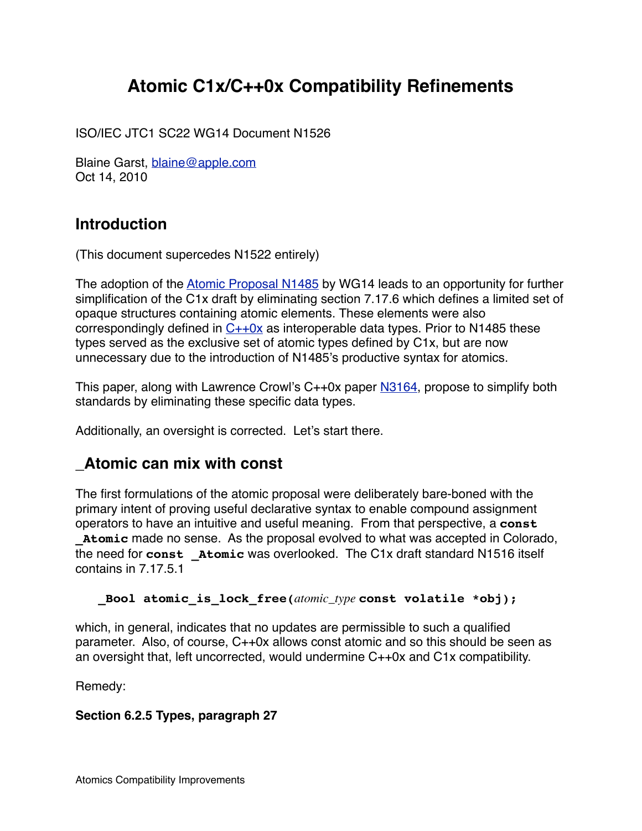# **Atomic C1x/C++0x Compatibility Refinements**

ISO/IEC JTC1 SC22 WG14 Document N1526

Blaine Garst, [blaine@apple.com](mailto:blaine@apple.com) Oct 14, 2010

## **Introduction**

(This document supercedes N1522 entirely)

The adoption of the [Atomic Proposal N1485](http://www.open-std.org/JTC1/SC22/WG14/www/docs/n1485.pdf) by WG14 leads to an opportunity for further simplification of the C1x draft by eliminating section 7.17.6 which defines a limited set of opaque structures containing atomic elements. These elements were also correspondingly defined in  $C++0x$  as interoperable data types. Prior to N1485 these types served as the exclusive set of atomic types defined by C1x, but are now unnecessary due to the introduction of N1485's productive syntax for atomics.

This paper, along with Lawrence Crowl's C++0x paper [N3164](http://www.open-std.org/JTC1/SC22/WG21/docs/papers/2010/n3164.html), propose to simplify both standards by eliminating these specific data types.

Additionally, an oversight is corrected. Let's start there.

## **\_Atomic can mix with const**

The first formulations of the atomic proposal were deliberately bare-boned with the primary intent of proving useful declarative syntax to enable compound assignment operators to have an intuitive and useful meaning. From that perspective, a **const \_Atomic** made no sense. As the proposal evolved to what was accepted in Colorado, the need for **const \_Atomic** was overlooked. The C1x draft standard N1516 itself contains in 7.17.5.1

 **Bool atomic is lock free(***atomic\_type* **const volatile \*obj);** 

which, in general, indicates that no updates are permissible to such a qualified parameter. Also, of course, C++0x allows const atomic and so this should be seen as an oversight that, left uncorrected, would undermine C++0x and C1x compatibility.

Remedy:

#### **Section 6.2.5 Types, paragraph 27**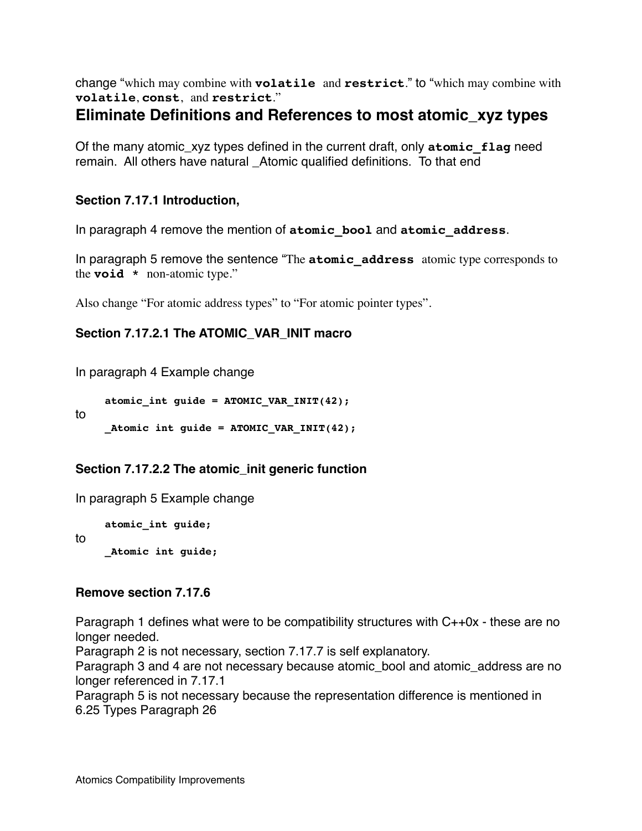change "which may combine with **volatile** and **restrict**." to "which may combine with **volatile**, **const**, and **restrict**."

### **Eliminate Definitions and References to most atomic\_xyz types**

Of the many atomic\_xyz types defined in the current draft, only **atomic\_flag** need remain. All others have natural \_Atomic qualified definitions. To that end

#### **Section 7.17.1 Introduction,**

In paragraph 4 remove the mention of **atomic\_bool** and **atomic\_address**.

In paragraph 5 remove the sentence "The **atomic\_address** atomic type corresponds to the **void \*** non-atomic type."

Also change "For atomic address types" to "For atomic pointer types".

#### **Section 7.17.2.1 The ATOMIC\_VAR\_INIT macro**

In paragraph 4 Example change

```
atomic int guide = ATOMIC VAR INT(42);
```

```
_Atomic int guide = ATOMIC_VAR_INIT(42);
```
#### **Section 7.17.2.2 The atomic\_init generic function**

In paragraph 5 Example change

**atomic\_int guide;**

to

to

**\_Atomic int guide;**

#### **Remove section 7.17.6**

Paragraph 1 defines what were to be compatibility structures with C++0x - these are no longer needed.

Paragraph 2 is not necessary, section 7.17.7 is self explanatory.

Paragraph 3 and 4 are not necessary because atomic bool and atomic address are no longer referenced in 7.17.1

Paragraph 5 is not necessary because the representation difference is mentioned in 6.25 Types Paragraph 26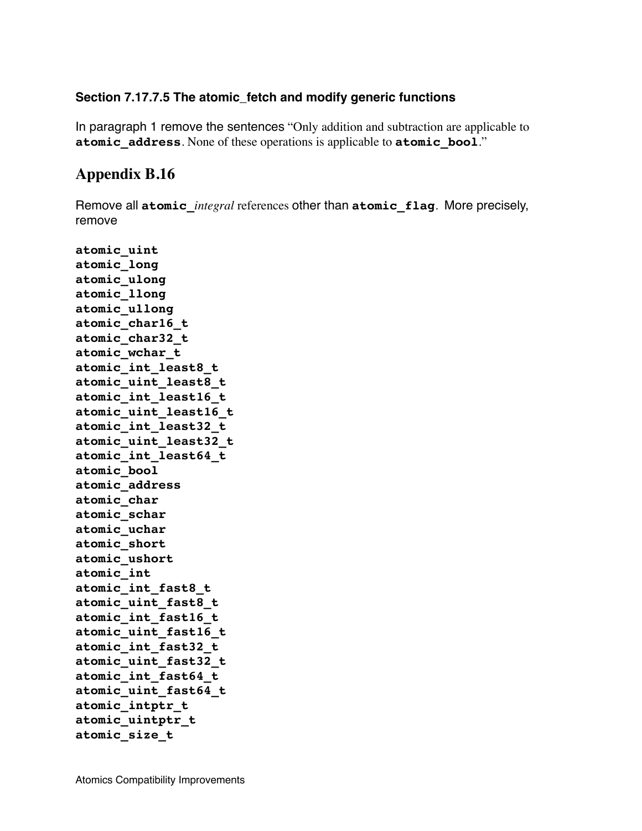#### **Section 7.17.7.5 The atomic\_fetch and modify generic functions**

In paragraph 1 remove the sentences "Only addition and subtraction are applicable to **atomic\_address**. None of these operations is applicable to **atomic\_bool**."

### **Appendix B.16**

Remove all **atomic\_***integral* references other than **atomic\_flag**. More precisely, remove

**atomic\_uint atomic\_long atomic\_ulong atomic\_llong atomic\_ullong atomic\_char16\_t atomic\_char32\_t atomic\_wchar\_t atomic\_int\_least8\_t atomic\_uint\_least8\_t atomic\_int\_least16\_t atomic\_uint\_least16\_t atomic\_int\_least32\_t atomic\_uint\_least32\_t atomic\_int\_least64\_t atomic\_bool atomic\_address atomic\_char atomic\_schar atomic\_uchar atomic\_short atomic\_ushort atomic\_int atomic\_int\_fast8\_t atomic\_uint\_fast8\_t atomic\_int\_fast16\_t atomic\_uint\_fast16\_t atomic\_int\_fast32\_t atomic\_uint\_fast32\_t atomic\_int\_fast64\_t atomic\_uint\_fast64\_t atomic\_intptr\_t atomic\_uintptr\_t atomic\_size\_t**